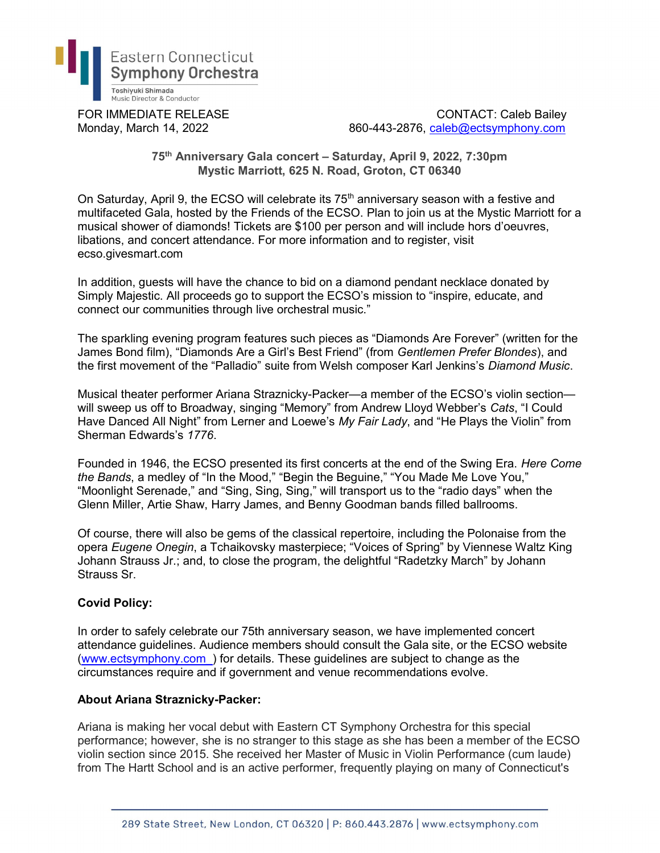

FOR IMMEDIATE RELEASE CONTACT: Caleb Bailey Monday, March 14, 2022 860-443-2876, caleb@ectsymphony.com

## 75th Anniversary Gala concert – Saturday, April 9, 2022, 7:30pm Mystic Marriott, 625 N. Road, Groton, CT 06340

On Saturday, April 9, the ECSO will celebrate its  $75<sup>th</sup>$  anniversary season with a festive and multifaceted Gala, hosted by the Friends of the ECSO. Plan to join us at the Mystic Marriott for a musical shower of diamonds! Tickets are \$100 per person and will include hors d'oeuvres, libations, and concert attendance. For more information and to register, visit ecso.givesmart.com

In addition, guests will have the chance to bid on a diamond pendant necklace donated by Simply Majestic. All proceeds go to support the ECSO's mission to "inspire, educate, and connect our communities through live orchestral music."

The sparkling evening program features such pieces as "Diamonds Are Forever" (written for the James Bond film), "Diamonds Are a Girl's Best Friend" (from Gentlemen Prefer Blondes), and the first movement of the "Palladio" suite from Welsh composer Karl Jenkins's Diamond Music.

Musical theater performer Ariana Straznicky-Packer—a member of the ECSO's violin section will sweep us off to Broadway, singing "Memory" from Andrew Lloyd Webber's Cats, "I Could Have Danced All Night" from Lerner and Loewe's My Fair Lady, and "He Plays the Violin" from Sherman Edwards's 1776.

Founded in 1946, the ECSO presented its first concerts at the end of the Swing Era. Here Come the Bands, a medley of "In the Mood," "Begin the Beguine," "You Made Me Love You," "Moonlight Serenade," and "Sing, Sing, Sing," will transport us to the "radio days" when the Glenn Miller, Artie Shaw, Harry James, and Benny Goodman bands filled ballrooms.

Of course, there will also be gems of the classical repertoire, including the Polonaise from the opera Eugene Onegin, a Tchaikovsky masterpiece; "Voices of Spring" by Viennese Waltz King Johann Strauss Jr.; and, to close the program, the delightful "Radetzky March" by Johann Strauss Sr.

## Covid Policy:

In order to safely celebrate our 75th anniversary season, we have implemented concert attendance guidelines. Audience members should consult the Gala site, or the ECSO website (www.ectsymphony.com\_) for details. These guidelines are subject to change as the circumstances require and if government and venue recommendations evolve.

## About Ariana Straznicky-Packer:

Ariana is making her vocal debut with Eastern CT Symphony Orchestra for this special performance; however, she is no stranger to this stage as she has been a member of the ECSO violin section since 2015. She received her Master of Music in Violin Performance (cum laude) from The Hartt School and is an active performer, frequently playing on many of Connecticut's